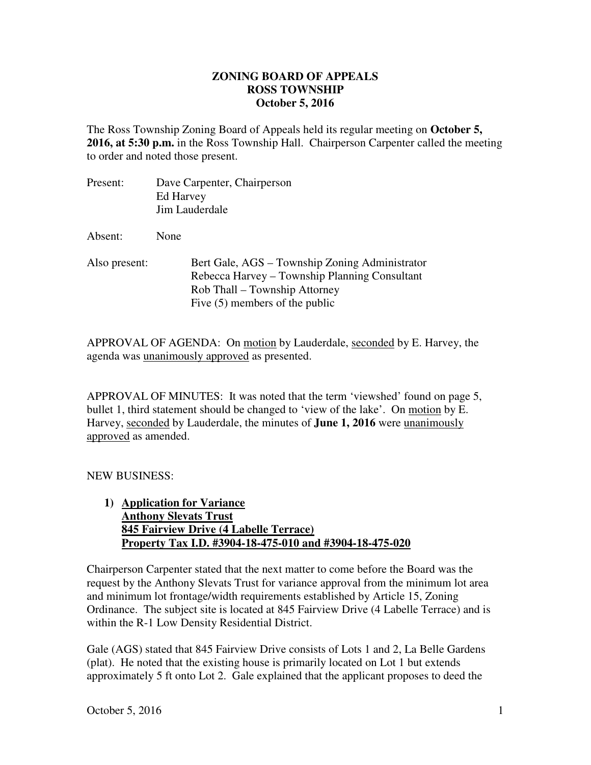## **ZONING BOARD OF APPEALS ROSS TOWNSHIP October 5, 2016**

The Ross Township Zoning Board of Appeals held its regular meeting on **October 5, 2016, at 5:30 p.m.** in the Ross Township Hall. Chairperson Carpenter called the meeting to order and noted those present.

| Present:      | Dave Carpenter, Chairperson<br>Ed Harvey<br>Jim Lauderdale                                                                                                           |
|---------------|----------------------------------------------------------------------------------------------------------------------------------------------------------------------|
| Absent:       | None                                                                                                                                                                 |
| Also present: | Bert Gale, AGS – Township Zoning Administrator<br>Rebecca Harvey – Township Planning Consultant<br>Rob Thall – Township Attorney<br>Five $(5)$ members of the public |

APPROVAL OF AGENDA: On motion by Lauderdale, seconded by E. Harvey, the agenda was unanimously approved as presented.

APPROVAL OF MINUTES: It was noted that the term 'viewshed' found on page 5, bullet 1, third statement should be changed to 'view of the lake'. On motion by E. Harvey, seconded by Lauderdale, the minutes of **June 1, 2016** were unanimously approved as amended.

NEW BUSINESS:

**1) Application for Variance Anthony Slevats Trust 845 Fairview Drive (4 Labelle Terrace) Property Tax I.D. #3904-18-475-010 and #3904-18-475-020** 

Chairperson Carpenter stated that the next matter to come before the Board was the request by the Anthony Slevats Trust for variance approval from the minimum lot area and minimum lot frontage/width requirements established by Article 15, Zoning Ordinance. The subject site is located at 845 Fairview Drive (4 Labelle Terrace) and is within the R-1 Low Density Residential District.

Gale (AGS) stated that 845 Fairview Drive consists of Lots 1 and 2, La Belle Gardens (plat). He noted that the existing house is primarily located on Lot 1 but extends approximately 5 ft onto Lot 2. Gale explained that the applicant proposes to deed the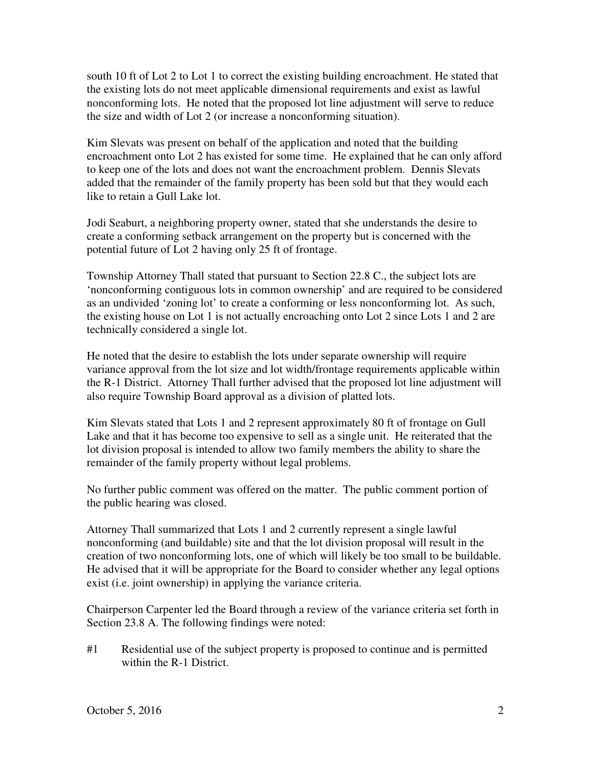south 10 ft of Lot 2 to Lot 1 to correct the existing building encroachment. He stated that the existing lots do not meet applicable dimensional requirements and exist as lawful nonconforming lots. He noted that the proposed lot line adjustment will serve to reduce the size and width of Lot 2 (or increase a nonconforming situation).

Kim Slevats was present on behalf of the application and noted that the building encroachment onto Lot 2 has existed for some time. He explained that he can only afford to keep one of the lots and does not want the encroachment problem. Dennis Slevats added that the remainder of the family property has been sold but that they would each like to retain a Gull Lake lot.

Jodi Seaburt, a neighboring property owner, stated that she understands the desire to create a conforming setback arrangement on the property but is concerned with the potential future of Lot 2 having only 25 ft of frontage.

Township Attorney Thall stated that pursuant to Section 22.8 C., the subject lots are 'nonconforming contiguous lots in common ownership' and are required to be considered as an undivided 'zoning lot' to create a conforming or less nonconforming lot. As such, the existing house on Lot 1 is not actually encroaching onto Lot 2 since Lots 1 and 2 are technically considered a single lot.

He noted that the desire to establish the lots under separate ownership will require variance approval from the lot size and lot width/frontage requirements applicable within the R-1 District. Attorney Thall further advised that the proposed lot line adjustment will also require Township Board approval as a division of platted lots.

Kim Slevats stated that Lots 1 and 2 represent approximately 80 ft of frontage on Gull Lake and that it has become too expensive to sell as a single unit. He reiterated that the lot division proposal is intended to allow two family members the ability to share the remainder of the family property without legal problems.

No further public comment was offered on the matter. The public comment portion of the public hearing was closed.

Attorney Thall summarized that Lots 1 and 2 currently represent a single lawful nonconforming (and buildable) site and that the lot division proposal will result in the creation of two nonconforming lots, one of which will likely be too small to be buildable. He advised that it will be appropriate for the Board to consider whether any legal options exist (i.e. joint ownership) in applying the variance criteria.

Chairperson Carpenter led the Board through a review of the variance criteria set forth in Section 23.8 A. The following findings were noted:

#1 Residential use of the subject property is proposed to continue and is permitted within the R-1 District.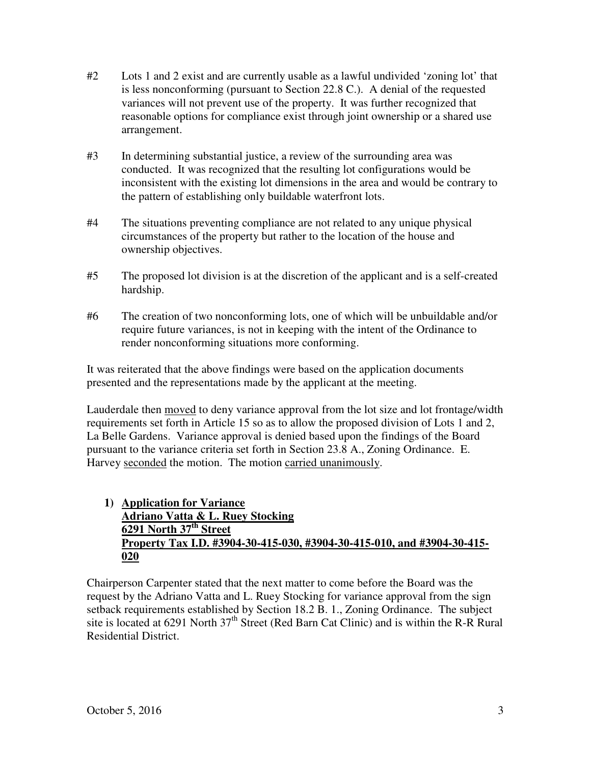- #2 Lots 1 and 2 exist and are currently usable as a lawful undivided 'zoning lot' that is less nonconforming (pursuant to Section 22.8 C.). A denial of the requested variances will not prevent use of the property. It was further recognized that reasonable options for compliance exist through joint ownership or a shared use arrangement.
- #3 In determining substantial justice, a review of the surrounding area was conducted. It was recognized that the resulting lot configurations would be inconsistent with the existing lot dimensions in the area and would be contrary to the pattern of establishing only buildable waterfront lots.
- #4 The situations preventing compliance are not related to any unique physical circumstances of the property but rather to the location of the house and ownership objectives.
- #5 The proposed lot division is at the discretion of the applicant and is a self-created hardship.
- #6 The creation of two nonconforming lots, one of which will be unbuildable and/or require future variances, is not in keeping with the intent of the Ordinance to render nonconforming situations more conforming.

It was reiterated that the above findings were based on the application documents presented and the representations made by the applicant at the meeting.

Lauderdale then moved to deny variance approval from the lot size and lot frontage/width requirements set forth in Article 15 so as to allow the proposed division of Lots 1 and 2, La Belle Gardens. Variance approval is denied based upon the findings of the Board pursuant to the variance criteria set forth in Section 23.8 A., Zoning Ordinance. E. Harvey seconded the motion. The motion carried unanimously.

**1) Application for Variance Adriano Vatta & L. Ruey Stocking 6291 North 37th Street Property Tax I.D. #3904-30-415-030, #3904-30-415-010, and #3904-30-415- 020** 

Chairperson Carpenter stated that the next matter to come before the Board was the request by the Adriano Vatta and L. Ruey Stocking for variance approval from the sign setback requirements established by Section 18.2 B. 1., Zoning Ordinance. The subject site is located at 6291 North  $37<sup>th</sup>$  Street (Red Barn Cat Clinic) and is within the R-R Rural Residential District.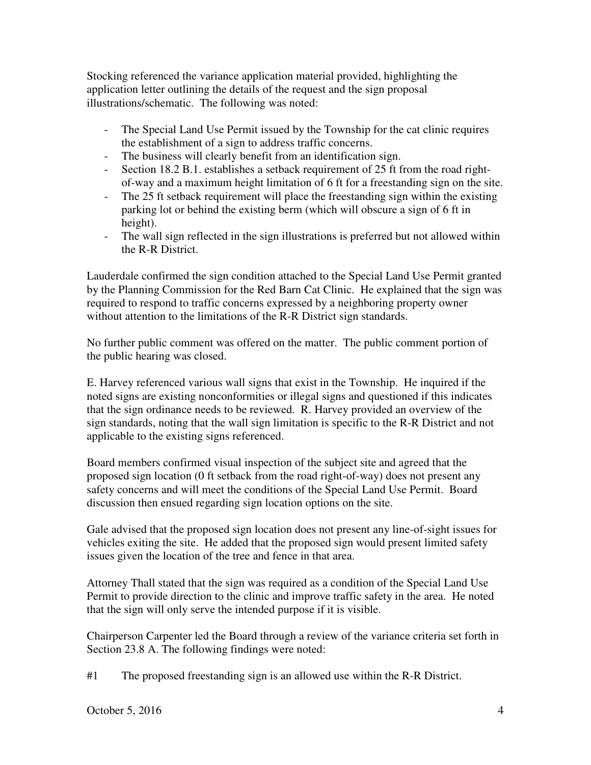Stocking referenced the variance application material provided, highlighting the application letter outlining the details of the request and the sign proposal illustrations/schematic. The following was noted:

- The Special Land Use Permit issued by the Township for the cat clinic requires the establishment of a sign to address traffic concerns.
- The business will clearly benefit from an identification sign.
- Section 18.2 B.1. establishes a setback requirement of 25 ft from the road rightof-way and a maximum height limitation of 6 ft for a freestanding sign on the site.
- The 25 ft setback requirement will place the freestanding sign within the existing parking lot or behind the existing berm (which will obscure a sign of 6 ft in height).
- The wall sign reflected in the sign illustrations is preferred but not allowed within the R-R District.

Lauderdale confirmed the sign condition attached to the Special Land Use Permit granted by the Planning Commission for the Red Barn Cat Clinic. He explained that the sign was required to respond to traffic concerns expressed by a neighboring property owner without attention to the limitations of the R-R District sign standards.

No further public comment was offered on the matter. The public comment portion of the public hearing was closed.

E. Harvey referenced various wall signs that exist in the Township. He inquired if the noted signs are existing nonconformities or illegal signs and questioned if this indicates that the sign ordinance needs to be reviewed. R. Harvey provided an overview of the sign standards, noting that the wall sign limitation is specific to the R-R District and not applicable to the existing signs referenced.

Board members confirmed visual inspection of the subject site and agreed that the proposed sign location (0 ft setback from the road right-of-way) does not present any safety concerns and will meet the conditions of the Special Land Use Permit. Board discussion then ensued regarding sign location options on the site.

Gale advised that the proposed sign location does not present any line-of-sight issues for vehicles exiting the site. He added that the proposed sign would present limited safety issues given the location of the tree and fence in that area.

Attorney Thall stated that the sign was required as a condition of the Special Land Use Permit to provide direction to the clinic and improve traffic safety in the area. He noted that the sign will only serve the intended purpose if it is visible.

Chairperson Carpenter led the Board through a review of the variance criteria set forth in Section 23.8 A. The following findings were noted:

#1 The proposed freestanding sign is an allowed use within the R-R District.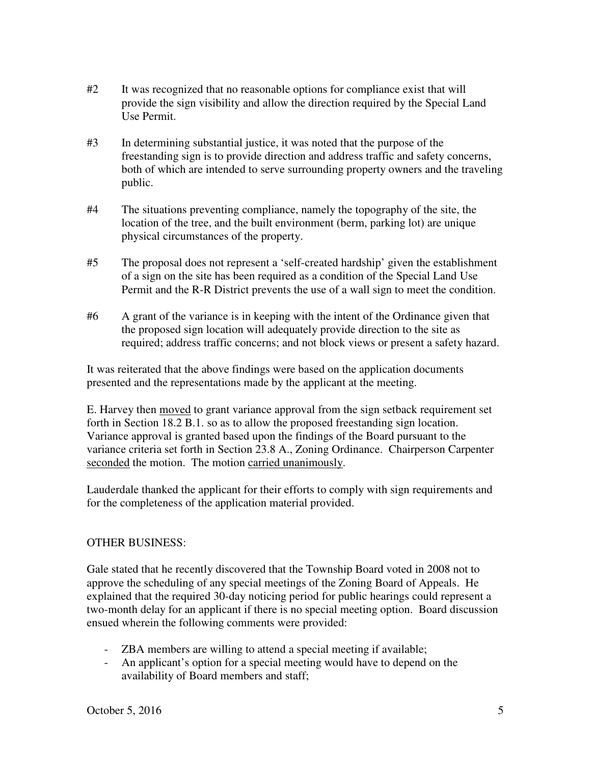- #2 It was recognized that no reasonable options for compliance exist that will provide the sign visibility and allow the direction required by the Special Land Use Permit.
- #3 In determining substantial justice, it was noted that the purpose of the freestanding sign is to provide direction and address traffic and safety concerns, both of which are intended to serve surrounding property owners and the traveling public.
- #4 The situations preventing compliance, namely the topography of the site, the location of the tree, and the built environment (berm, parking lot) are unique physical circumstances of the property.
- #5 The proposal does not represent a 'self-created hardship' given the establishment of a sign on the site has been required as a condition of the Special Land Use Permit and the R-R District prevents the use of a wall sign to meet the condition.
- #6 A grant of the variance is in keeping with the intent of the Ordinance given that the proposed sign location will adequately provide direction to the site as required; address traffic concerns; and not block views or present a safety hazard.

It was reiterated that the above findings were based on the application documents presented and the representations made by the applicant at the meeting.

E. Harvey then moved to grant variance approval from the sign setback requirement set forth in Section 18.2 B.1. so as to allow the proposed freestanding sign location. Variance approval is granted based upon the findings of the Board pursuant to the variance criteria set forth in Section 23.8 A., Zoning Ordinance. Chairperson Carpenter seconded the motion. The motion carried unanimously.

Lauderdale thanked the applicant for their efforts to comply with sign requirements and for the completeness of the application material provided.

## OTHER BUSINESS:

Gale stated that he recently discovered that the Township Board voted in 2008 not to approve the scheduling of any special meetings of the Zoning Board of Appeals. He explained that the required 30-day noticing period for public hearings could represent a two-month delay for an applicant if there is no special meeting option. Board discussion ensued wherein the following comments were provided:

- ZBA members are willing to attend a special meeting if available;
- An applicant's option for a special meeting would have to depend on the availability of Board members and staff;